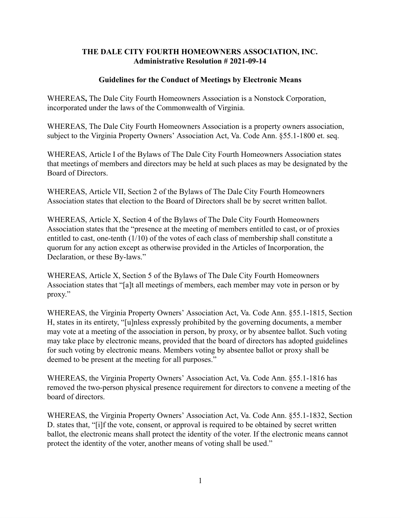## **THE DALE CITY FOURTH HOMEOWNERS ASSOCIATION, INC. Administrative Resolution # 2021-09-14**

## **Guidelines for the Conduct of Meetings by Electronic Means**

WHEREAS**,** The Dale City Fourth Homeowners Association is a Nonstock Corporation, incorporated under the laws of the Commonwealth of Virginia.

WHEREAS, The Dale City Fourth Homeowners Association is a property owners association, subject to the Virginia Property Owners' Association Act, Va. Code Ann. §55.1-1800 et. seq.

WHEREAS, Article I of the Bylaws of The Dale City Fourth Homeowners Association states that meetings of members and directors may be held at such places as may be designated by the Board of Directors.

WHEREAS, Article VII, Section 2 of the Bylaws of The Dale City Fourth Homeowners Association states that election to the Board of Directors shall be by secret written ballot.

WHEREAS, Article X, Section 4 of the Bylaws of The Dale City Fourth Homeowners Association states that the "presence at the meeting of members entitled to cast, or of proxies entitled to cast, one-tenth (1/10) of the votes of each class of membership shall constitute a quorum for any action except as otherwise provided in the Articles of Incorporation, the Declaration, or these By-laws."

WHEREAS, Article X, Section 5 of the Bylaws of The Dale City Fourth Homeowners Association states that "[a]t all meetings of members, each member may vote in person or by proxy."

WHEREAS, the Virginia Property Owners' Association Act, Va. Code Ann. §55.1-1815, Section H, states in its entirety, "[u]nless expressly prohibited by the governing documents, a member may vote at a meeting of the association in person, by proxy, or by absentee ballot. Such voting may take place by electronic means, provided that the board of directors has adopted guidelines for such voting by electronic means. Members voting by absentee ballot or proxy shall be deemed to be present at the meeting for all purposes."

WHEREAS, the Virginia Property Owners' Association Act, Va. Code Ann. §55.1-1816 has removed the two-person physical presence requirement for directors to convene a meeting of the board of directors.

WHEREAS, the Virginia Property Owners' Association Act, Va. Code Ann. §55.1-1832, Section D. states that, "[i]f the vote, consent, or approval is required to be obtained by secret written ballot, the electronic means shall protect the identity of the voter. If the electronic means cannot protect the identity of the voter, another means of voting shall be used."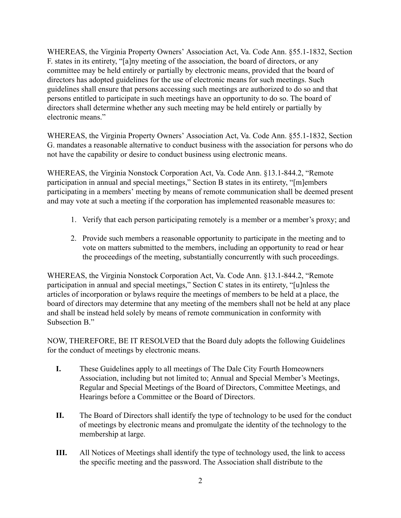WHEREAS, the Virginia Property Owners' Association Act, Va. Code Ann. §55.1-1832, Section F. states in its entirety, "[a]ny meeting of the association, the board of directors, or any committee may be held entirely or partially by electronic means, provided that the board of directors has adopted guidelines for the use of electronic means for such meetings. Such guidelines shall ensure that persons accessing such meetings are authorized to do so and that persons entitled to participate in such meetings have an opportunity to do so. The board of directors shall determine whether any such meeting may be held entirely or partially by electronic means."

WHEREAS, the Virginia Property Owners' Association Act, Va. Code Ann. §55.1-1832, Section G. mandates a reasonable alternative to conduct business with the association for persons who do not have the capability or desire to conduct business using electronic means.

WHEREAS, the Virginia Nonstock Corporation Act, Va. Code Ann. §13.1-844.2, "Remote participation in annual and special meetings," Section B states in its entirety, "[m]embers participating in a members' meeting by means of remote communication shall be deemed present and may vote at such a meeting if the corporation has implemented reasonable measures to:

- 1. Verify that each person participating remotely is a member or a member's proxy; and
- 2. Provide such members a reasonable opportunity to participate in the meeting and to vote on matters submitted to the members, including an opportunity to read or hear the proceedings of the meeting, substantially concurrently with such proceedings.

WHEREAS, the Virginia Nonstock Corporation Act, Va. Code Ann. §13.1-844.2, "Remote participation in annual and special meetings," Section C states in its entirety, "[u]nless the articles of incorporation or bylaws require the meetings of members to be held at a place, the board of directors may determine that any meeting of the members shall not be held at any place and shall be instead held solely by means of remote communication in conformity with Subsection B."

NOW, THEREFORE, BE IT RESOLVED that the Board duly adopts the following Guidelines for the conduct of meetings by electronic means.

- **I.** These Guidelines apply to all meetings of The Dale City Fourth Homeowners Association, including but not limited to; Annual and Special Member's Meetings, Regular and Special Meetings of the Board of Directors, Committee Meetings, and Hearings before a Committee or the Board of Directors.
- **II.** The Board of Directors shall identify the type of technology to be used for the conduct of meetings by electronic means and promulgate the identity of the technology to the membership at large.
- **III.** All Notices of Meetings shall identify the type of technology used, the link to access the specific meeting and the password. The Association shall distribute to the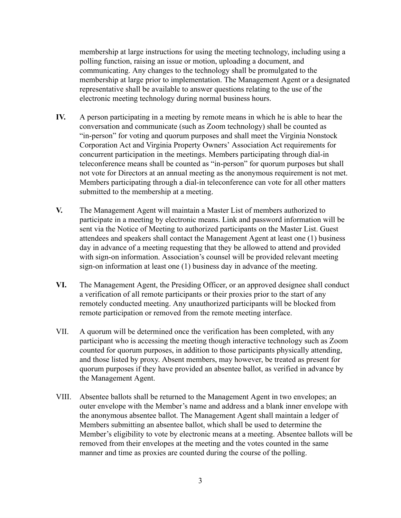membership at large instructions for using the meeting technology, including using a polling function, raising an issue or motion, uploading a document, and communicating. Any changes to the technology shall be promulgated to the membership at large prior to implementation. The Management Agent or a designated representative shall be available to answer questions relating to the use of the electronic meeting technology during normal business hours.

- **IV.** A person participating in a meeting by remote means in which he is able to hear the conversation and communicate (such as Zoom technology) shall be counted as "in-person" for voting and quorum purposes and shall meet the Virginia Nonstock Corporation Act and Virginia Property Owners' Association Act requirements for concurrent participation in the meetings. Members participating through dial-in teleconference means shall be counted as "in-person" for quorum purposes but shall not vote for Directors at an annual meeting as the anonymous requirement is not met. Members participating through a dial-in teleconference can vote for all other matters submitted to the membership at a meeting.
- **V.** The Management Agent will maintain a Master List of members authorized to participate in a meeting by electronic means. Link and password information will be sent via the Notice of Meeting to authorized participants on the Master List. Guest attendees and speakers shall contact the Management Agent at least one (1) business day in advance of a meeting requesting that they be allowed to attend and provided with sign-on information. Association's counsel will be provided relevant meeting sign-on information at least one (1) business day in advance of the meeting.
- **VI.** The Management Agent, the Presiding Officer, or an approved designee shall conduct a verification of all remote participants or their proxies prior to the start of any remotely conducted meeting. Any unauthorized participants will be blocked from remote participation or removed from the remote meeting interface.
- VII. A quorum will be determined once the verification has been completed, with any participant who is accessing the meeting though interactive technology such as Zoom counted for quorum purposes, in addition to those participants physically attending, and those listed by proxy. Absent members, may however, be treated as present for quorum purposes if they have provided an absentee ballot, as verified in advance by the Management Agent.
- VIII. Absentee ballots shall be returned to the Management Agent in two envelopes; an outer envelope with the Member's name and address and a blank inner envelope with the anonymous absentee ballot. The Management Agent shall maintain a ledger of Members submitting an absentee ballot, which shall be used to determine the Member's eligibility to vote by electronic means at a meeting. Absentee ballots will be removed from their envelopes at the meeting and the votes counted in the same manner and time as proxies are counted during the course of the polling.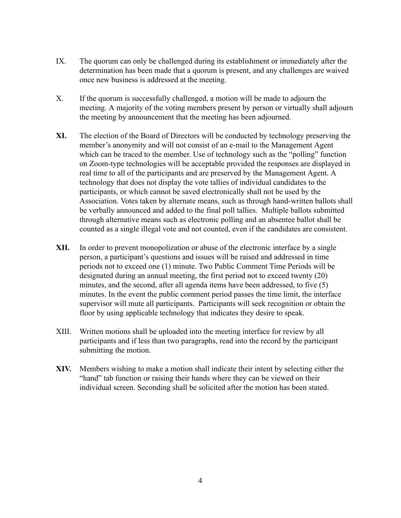- IX. The quorum can only be challenged during its establishment or immediately after the determination has been made that a quorum is present, and any challenges are waived once new business is addressed at the meeting.
- X. If the quorum is successfully challenged, a motion will be made to adjourn the meeting. A majority of the voting members present by person or virtually shall adjourn the meeting by announcement that the meeting has been adjourned.
- **XI.** The election of the Board of Directors will be conducted by technology preserving the member's anonymity and will not consist of an e-mail to the Management Agent which can be traced to the member. Use of technology such as the "polling" function on Zoom-type technologies will be acceptable provided the responses are displayed in real time to all of the participants and are preserved by the Management Agent. A technology that does not display the vote tallies of individual candidates to the participants, or which cannot be saved electronically shall not be used by the Association. Votes taken by alternate means, such as through hand-written ballots shall be verbally announced and added to the final poll tallies. Multiple ballots submitted through alternative means such as electronic polling and an absentee ballot shall be counted as a single illegal vote and not counted, even if the candidates are consistent.
- **XII.** In order to prevent monopolization or abuse of the electronic interface by a single person, a participant's questions and issues will be raised and addressed in time periods not to exceed one (1) minute. Two Public Comment Time Periods will be designated during an annual meeting, the first period not to exceed twenty (20) minutes, and the second, after all agenda items have been addressed, to five (5) minutes. In the event the public comment period passes the time limit, the interface supervisor will mute all participants. Participants will seek recognition or obtain the floor by using applicable technology that indicates they desire to speak.
- XIII. Written motions shall be uploaded into the meeting interface for review by all participants and if less than two paragraphs, read into the record by the participant submitting the motion.
- **XIV.** Members wishing to make a motion shall indicate their intent by selecting either the "hand" tab function or raising their hands where they can be viewed on their individual screen. Seconding shall be solicited after the motion has been stated.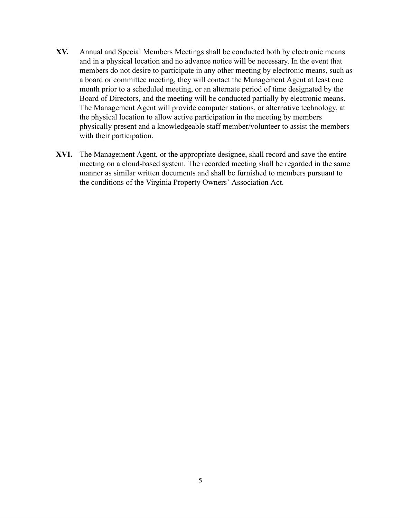- **XV.** Annual and Special Members Meetings shall be conducted both by electronic means and in a physical location and no advance notice will be necessary. In the event that members do not desire to participate in any other meeting by electronic means, such as a board or committee meeting, they will contact the Management Agent at least one month prior to a scheduled meeting, or an alternate period of time designated by the Board of Directors, and the meeting will be conducted partially by electronic means. The Management Agent will provide computer stations, or alternative technology, at the physical location to allow active participation in the meeting by members physically present and a knowledgeable staff member/volunteer to assist the members with their participation.
- **XVI.** The Management Agent, or the appropriate designee, shall record and save the entire meeting on a cloud-based system. The recorded meeting shall be regarded in the same manner as similar written documents and shall be furnished to members pursuant to the conditions of the Virginia Property Owners' Association Act.